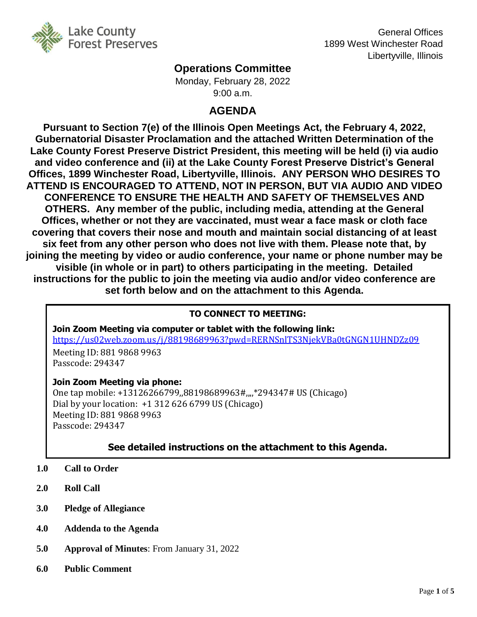

General Offices 1899 West Winchester Road Libertyville, Illinois

# **Operations Committee**

Monday, February 28, 2022 9:00 a.m.

# **AGENDA**

**Pursuant to Section 7(e) of the Illinois Open Meetings Act, the February 4, 2022, Gubernatorial Disaster Proclamation and the attached Written Determination of the Lake County Forest Preserve District President, this meeting will be held (i) via audio and video conference and (ii) at the Lake County Forest Preserve District's General Offices, 1899 Winchester Road, Libertyville, Illinois. ANY PERSON WHO DESIRES TO ATTEND IS ENCOURAGED TO ATTEND, NOT IN PERSON, BUT VIA AUDIO AND VIDEO CONFERENCE TO ENSURE THE HEALTH AND SAFETY OF THEMSELVES AND OTHERS. Any member of the public, including media, attending at the General Offices, whether or not they are vaccinated, must wear a face mask or cloth face covering that covers their nose and mouth and maintain social distancing of at least six feet from any other person who does not live with them. Please note that, by joining the meeting by video or audio conference, your name or phone number may be visible (in whole or in part) to others participating in the meeting. Detailed instructions for the public to join the meeting via audio and/or video conference are set forth below and on the attachment to this Agenda.**

## **TO CONNECT TO MEETING:**

**Join Zoom Meeting via computer or tablet with the following link:** <https://us02web.zoom.us/j/88198689963?pwd=RERNSnlTS3NjekVBa0tGNGN1UHNDZz09> Meeting ID: 881 9868 9963

Passcode: 294347

## **Join Zoom Meeting via phone:**

One tap mobile: +13126266799,,88198689963#,,,,\*294347# US (Chicago) Dial by your location: +1 312 626 6799 US (Chicago) Meeting ID: 881 9868 9963 Passcode: 294347

# **See detailed instructions on the attachment to this Agenda.**

- **1.0 Call to Order**
- **2.0 Roll Call**
- **3.0 Pledge of Allegiance**
- **4.0 Addenda to the Agenda**
- **5.0 Approval of Minutes**: From January 31, 2022
- **6.0 Public Comment**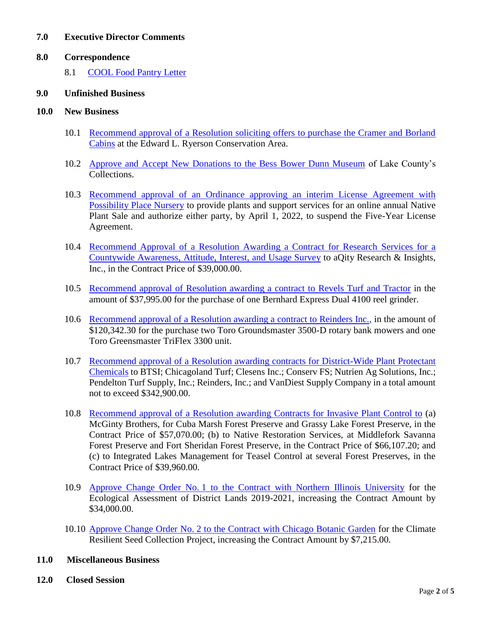#### **7.0 Executive Director Comments**

#### **8.0 Correspondence**

8.1 [COOL Food Pantry Letter](http://www.lcfpd.org/assets/1/28/8.0_COOL_Food_Pantry_Letter.pdf)

#### **9.0 Unfinished Business**

#### **10.0 New Business**

- 10.1 [Recommend approval of a Resolution soliciting offers to purchase the Cramer and Borland](http://www.lcfpd.org/assets/1/28/10.1_CRAMER_AND_BORLAND_CABINS_AT_RYERSON.pdf)  [Cabins](http://www.lcfpd.org/assets/1/28/10.1_CRAMER_AND_BORLAND_CABINS_AT_RYERSON.pdf) at the Edward L. Ryerson Conservation Area.
- 10.2 [Approve and Accept New Donations to the Bess Bower Dunn Museum](http://www.lcfpd.org/assets/1/28/10.2_DUNN_MUSEUM_NEW_DONATIONS.pdf) of Lake County's Collections.
- 10.3 [Recommend approval of an Ordinance approving an interim License Agreement with](http://www.lcfpd.org/assets/1/28/10.3_NATIVE_PLANT_SALE_INTERIM_LICENSE_AGREEMENT_WITH_POSSIBILITY_PLACE_NURSERY.pdf)  [Possibility Place Nursery](http://www.lcfpd.org/assets/1/28/10.3_NATIVE_PLANT_SALE_INTERIM_LICENSE_AGREEMENT_WITH_POSSIBILITY_PLACE_NURSERY.pdf) to provide plants and support services for an online annual Native Plant Sale and authorize either party, by April 1, 2022, to suspend the Five-Year License Agreement.
- 10.4 [Recommend Approval of a Resolution Awarding a Contract for Research Services for a](http://www.lcfpd.org/assets/1/28/10.4_COUNTYWIDE_ATTITUDE___INTEREST_SURVEY_CONTRACT.pdf)  [Countywide Awareness, Attitude, Interest, and Usage Survey](http://www.lcfpd.org/assets/1/28/10.4_COUNTYWIDE_ATTITUDE___INTEREST_SURVEY_CONTRACT.pdf) to aQity Research & Insights, Inc., in the Contract Price of \$39,000.00.
- 10.5 [Recommend approval of Resolution awarding a contract to Revels Turf and Tractor](http://www.lcfpd.org/assets/1/28/10.5_PURCHASE_OF_ONE_EXPRESS_DUAL_4100_REEL_GRINDER.pdf) in the amount of \$37,995.00 for the purchase of one Bernhard Express Dual 4100 reel grinder.
- 10.6 [Recommend approval of a Resolution awarding a contract to Reinders Inc.,](http://www.lcfpd.org/assets/1/28/10.6_PURCHASE_OF_GOLF_COURSE_EQUIPMENT.pdf) in the amount of \$120,342.30 for the purchase two Toro Groundsmaster 3500-D rotary bank mowers and one Toro Greensmaster TriFlex 3300 unit.
- 10.7 [Recommend approval of a Resolution awarding contracts for District-Wide Plant Protectant](http://www.lcfpd.org/assets/1/28/10.7_PLANT_PROTECTANTS_DISTRICT-WIDE.pdf)  [Chemicals](http://www.lcfpd.org/assets/1/28/10.7_PLANT_PROTECTANTS_DISTRICT-WIDE.pdf) to BTSI; Chicagoland Turf; Clesens Inc.; Conserv FS; Nutrien Ag Solutions, Inc.; Pendelton Turf Supply, Inc.; Reinders, Inc.; and VanDiest Supply Company in a total amount not to exceed \$342,900.00.
- 10.8 [Recommend approval of a Resolution awarding Contracts for Invasive Plant Control to](http://www.lcfpd.org/assets/1/28/10.8_INVASIVE_PLANT_CONTROL.pdf) (a) McGinty Brothers, for Cuba Marsh Forest Preserve and Grassy Lake Forest Preserve, in the Contract Price of \$57,070.00; (b) to Native Restoration Services, at Middlefork Savanna Forest Preserve and Fort Sheridan Forest Preserve, in the Contract Price of \$66,107.20; and (c) to Integrated Lakes Management for Teasel Control at several Forest Preserves, in the Contract Price of \$39,960.00.
- 10.9 Approve Change Order No. [1 to the Contract with Northern Illinois University](http://www.lcfpd.org/assets/1/28/10.9__NIU_CHANGE_ORDER_NO._11.pdf) for the Ecological Assessment of District Lands 2019-2021, increasing the Contract Amount by \$34,000.00.
- 10.10 Approve Change Order No. [2 to the Contract with Chicago Botanic Garden](http://www.lcfpd.org/assets/1/28/10.10__CHICAGO_BOTANIC_GARDEN_CHANGE_ORDER.pdf) for the Climate Resilient Seed Collection Project, increasing the Contract Amount by \$7,215.00.
- **11.0 Miscellaneous Business**
- **12.0 Closed Session**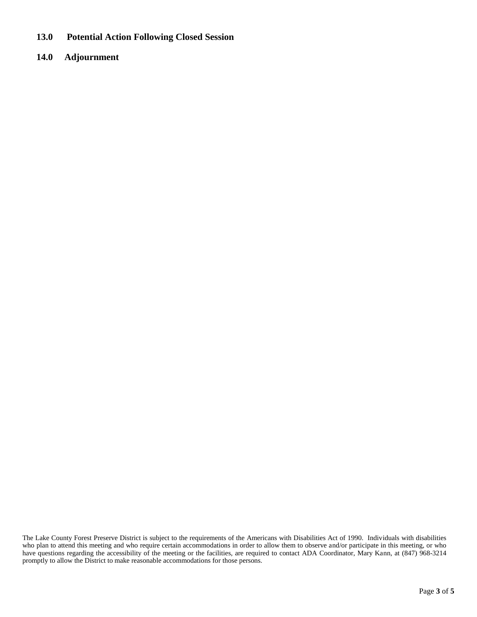**13.0 Potential Action Following Closed Session** 

### **14.0 Adjournment**

The Lake County Forest Preserve District is subject to the requirements of the Americans with Disabilities Act of 1990. Individuals with disabilities who plan to attend this meeting and who require certain accommodations in order to allow them to observe and/or participate in this meeting, or who have questions regarding the accessibility of the meeting or the facilities, are required to contact ADA Coordinator, Mary Kann, at (847) 968-3214 promptly to allow the District to make reasonable accommodations for those persons.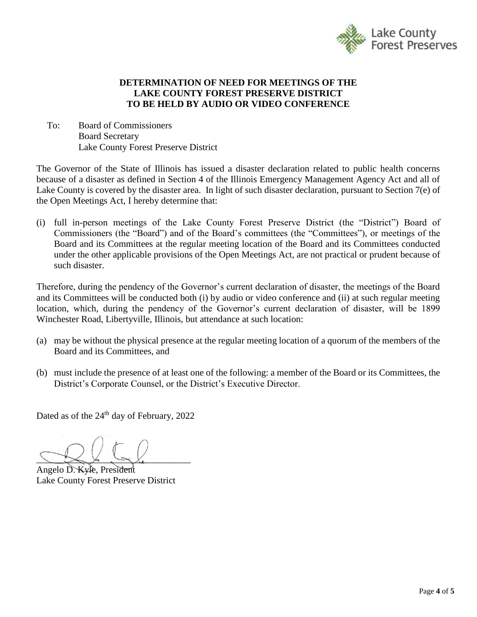

### **DETERMINATION OF NEED FOR MEETINGS OF THE LAKE COUNTY FOREST PRESERVE DISTRICT TO BE HELD BY AUDIO OR VIDEO CONFERENCE**

To: Board of Commissioners Board Secretary Lake County Forest Preserve District

The Governor of the State of Illinois has issued a disaster declaration related to public health concerns because of a disaster as defined in Section 4 of the Illinois Emergency Management Agency Act and all of Lake County is covered by the disaster area. In light of such disaster declaration, pursuant to Section 7(e) of the Open Meetings Act, I hereby determine that:

(i) full in-person meetings of the Lake County Forest Preserve District (the "District") Board of Commissioners (the "Board") and of the Board's committees (the "Committees"), or meetings of the Board and its Committees at the regular meeting location of the Board and its Committees conducted under the other applicable provisions of the Open Meetings Act, are not practical or prudent because of such disaster.

Therefore, during the pendency of the Governor's current declaration of disaster, the meetings of the Board and its Committees will be conducted both (i) by audio or video conference and (ii) at such regular meeting location, which, during the pendency of the Governor's current declaration of disaster, will be 1899 Winchester Road, Libertyville, Illinois, but attendance at such location:

- (a) may be without the physical presence at the regular meeting location of a quorum of the members of the Board and its Committees, and
- (b) must include the presence of at least one of the following: a member of the Board or its Committees, the District's Corporate Counsel, or the District's Executive Director.

Dated as of the 24<sup>th</sup> day of February, 2022

 $\searrow$   $\searrow$   $\searrow$   $\searrow$ 

Angelo D. Kyle, President Lake County Forest Preserve District